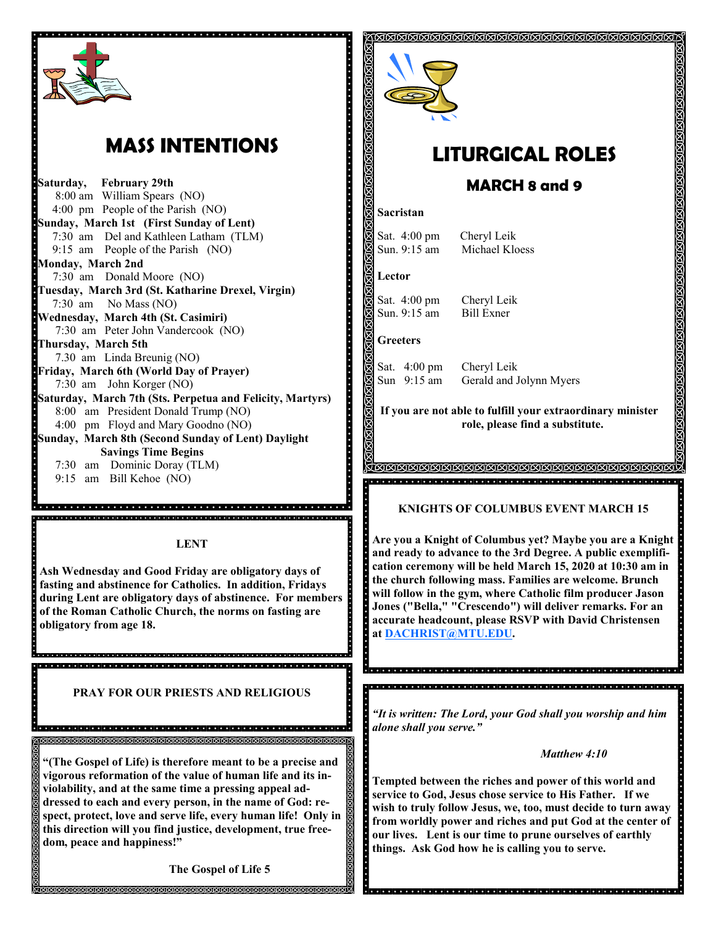

# **MASS INTENTIONS**

**Saturday, February 29th** 8:00 am William Spears (NO) 4:00 pm People of the Parish (NO) **Sunday, March 1st (First Sunday of Lent)** 7:30 am Del and Kathleen Latham (TLM) 9:15 am People of the Parish (NO) **Monday, March 2nd**  7:30 am Donald Moore (NO) **Tuesday, March 3rd (St. Katharine Drexel, Virgin)** 7:30 am No Mass (NO) **Wednesday, March 4th (St. Casimiri)** 7:30 am Peter John Vandercook (NO) **Thursday, March 5th** 7.30 am Linda Breunig (NO) **Friday, March 6th (World Day of Prayer)** 7:30 am John Korger (NO) **Saturday, March 7th (Sts. Perpetua and Felicity, Martyrs)** 8:00 am President Donald Trump (NO) 4:00 pm Floyd and Mary Goodno (NO) **Sunday, March 8th (Second Sunday of Lent) Daylight Savings Time Begins** 7:30 am Dominic Doray (TLM) 9:15 am Bill Kehoe (NO)

#### **LENT**

digiologica de de la grada de la ciencia de la grada de de de de la grada de la ciencia de de

**Ash Wednesday and Good Friday are obligatory days of fasting and abstinence for Catholics. In addition, Fridays during Lent are obligatory days of abstinence. For members of the Roman Catholic Church, the norms on fasting are obligatory from age 18.** 

**PRAY FOR OUR PRIESTS AND RELIGIOUS** 

is sistema distribuistem distribuistem distribuistem distribuistem distribuistem distribuistem distribuistem s

ଗଗଗଗଗଗଗଗଗଗଗଗଗଗଗଗଗଗଗଗଗଗଗଗଗଗଗଗଗ

**"(The Gospel of Life) is therefore meant to be a precise and vigorous reformation of the value of human life and its inviolability, and at the same time a pressing appeal addressed to each and every person, in the name of God: respect, protect, love and serve life, every human life! Only in this direction will you find justice, development, true freedom, peace and happiness!"**

**The Gospel of Life 5**



# **LITURGICAL ROLES**

## **MARCH 8 and 9**

#### **Sacristan**

Sat. 4:00 pm Cheryl Leik

Sun. 9:15 am Michael Kloess

### **Lector**

Sat. 4:00 pm Cheryl Leik Sun. 9:15 am Bill Exner

## **Greeters**

Sat. 4:00 pm Cheryl Leik Sun 9:15 am Gerald and Jolynn Myers

**If you are not able to fulfill your extraordinary minister role, please find a substitute.** 

> TATATATATATATATATATATATATATATATATATAT

## **KNIGHTS OF COLUMBUS EVENT MARCH 15**

**Are you a Knight of Columbus yet? Maybe you are a Knight and ready to advance to the 3rd Degree. A public exemplification ceremony will be held March 15, 2020 at 10:30 am in the church following mass. Families are welcome. Brunch will follow in the gym, where Catholic film producer Jason Jones ("Bella," "Crescendo") will deliver remarks. For an accurate headcount, please RSVP with David Christensen at [DACHRIST@MTU.EDU.](mailto:DACHRIST@MTU.EDU)**

*"It is written: The Lord, your God shall you worship and him alone shall you serve."*

<u>e color de color de color de la color de color de color de color de color de color de color de </u>

#### *Matthew 4:10*

**Tempted between the riches and power of this world and service to God, Jesus chose service to His Father. If we wish to truly follow Jesus, we, too, must decide to turn away from worldly power and riches and put God at the center of our lives. Lent is our time to prune ourselves of earthly things. Ask God how he is calling you to serve.**